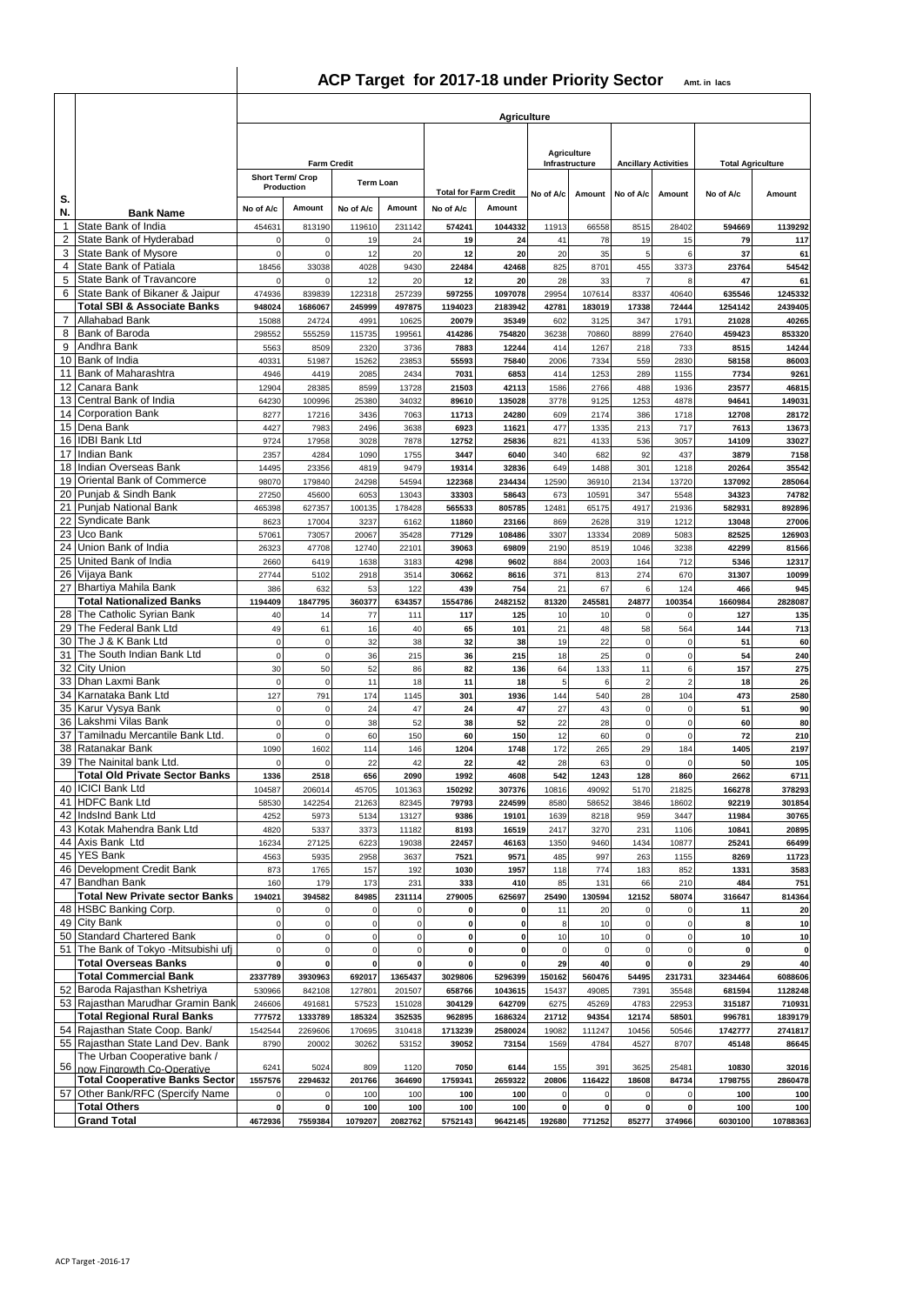# **ACP Target for 2017-18 under Priority Sector Amt. in lacs**

|                    |                                                                           | <b>Agriculture</b>         |                         |                            |                            |                            |                              |                      |                                      |                            |                               |                          |                   |  |  |  |  |  |
|--------------------|---------------------------------------------------------------------------|----------------------------|-------------------------|----------------------------|----------------------------|----------------------------|------------------------------|----------------------|--------------------------------------|----------------------------|-------------------------------|--------------------------|-------------------|--|--|--|--|--|
|                    |                                                                           |                            |                         |                            |                            |                            |                              |                      |                                      |                            |                               |                          |                   |  |  |  |  |  |
|                    |                                                                           |                            | <b>Farm Credit</b>      |                            |                            |                            |                              |                      | <b>Agriculture</b><br>Infrastructure |                            | <b>Ancillary Activities</b>   | <b>Total Agriculture</b> |                   |  |  |  |  |  |
|                    |                                                                           |                            | <b>Short Term/ Crop</b> | Term Loan                  |                            |                            |                              |                      |                                      |                            |                               |                          |                   |  |  |  |  |  |
| S.                 |                                                                           |                            | Production              |                            |                            |                            | <b>Total for Farm Credit</b> | No of A/c            | Amount                               | No of A/c                  | Amount                        | No of A/c                | Amount            |  |  |  |  |  |
| N.<br>$\mathbf{1}$ | <b>Bank Name</b><br>State Bank of India                                   | No of A/c                  | Amount                  | No of A/c                  | Amount                     | No of A/c                  | Amount                       |                      |                                      |                            |                               |                          |                   |  |  |  |  |  |
| 2                  | State Bank of Hyderabad                                                   | 454631<br>$\mathbf 0$      | 813190<br>0             | 119610<br>19               | 231142<br>24               | 574241<br>19               | 1044332<br>24                | 11913<br>41          | 66558<br>78                          | 8515<br>19                 | 28402<br>15                   | 594669<br>79             | 1139292<br>117    |  |  |  |  |  |
| 3                  | <b>State Bank of Mysore</b><br>State Bank of Patiala                      | $\mathbf 0$                | 0                       | 12                         | 20                         | 12                         | 20                           | 20                   | 35                                   | 5                          | 6                             | 37                       | 61                |  |  |  |  |  |
| 4<br>5             | <b>State Bank of Travancore</b>                                           | 18456<br>$\mathbf 0$       | 33038<br>$\Omega$       | 4028<br>12                 | 9430<br>20                 | 22484<br>12                | 42468<br>20                  | 825<br>28            | 8701<br>33                           | 455<br>$\overline{7}$      | 3373                          | 23764<br>47              | 54542<br>61       |  |  |  |  |  |
| 6                  | State Bank of Bikaner & Jaipur                                            | 474936                     | 839839                  | 122318                     | 257239                     | 597255                     | 1097078                      | 29954                | 107614                               | 8337                       | 40640                         | 635546                   | 1245332           |  |  |  |  |  |
| $\overline{7}$     | <b>Total SBI &amp; Associate Banks</b><br><b>Allahabad Bank</b>           | 948024<br>15088            | 1686067<br>24724        | 245999<br>4991             | 497875<br>10625            | 1194023<br>20079           | 2183942<br>35349             | 42781<br>602         | 183019<br>3125                       | 17338<br>347               | 72444<br>1791                 | 1254142<br>21028         | 2439405<br>40265  |  |  |  |  |  |
| 8                  | Bank of Baroda                                                            | 298552                     | 555259                  | 115735                     | 199561                     | 414286                     | 754820                       | 36238                | 70860                                | 8899                       | 27640                         | 459423                   | 853320            |  |  |  |  |  |
| 9<br>10            | Andhra Bank<br>Bank of India                                              | 5563<br>40331              | 8509<br>51987           | 2320<br>15262              | 3736<br>23853              | 7883<br>55593              | 12244<br>75840               | 414<br>2006          | 1267<br>7334                         | 218<br>559                 | 733<br>2830                   | 8515<br>58158            | 14244<br>86003    |  |  |  |  |  |
| 11                 | Bank of Maharashtra                                                       | 4946                       | 4419                    | 2085                       | 2434                       | 7031                       | 6853                         | 414                  | 1253                                 | 289                        | 1155                          | 7734                     | 9261              |  |  |  |  |  |
| 12<br>13           | Canara Bank<br>Central Bank of India                                      | 12904<br>64230             | 28385<br>100996         | 8599<br>25380              | 13728<br>34032             | 21503<br>89610             | 42113<br>135028              | 1586<br>3778         | 2766<br>9125                         | 488<br>1253                | 1936<br>4878                  | 23577<br>94641           | 46815<br>149031   |  |  |  |  |  |
| 14                 | <b>Corporation Bank</b>                                                   | 8277                       | 17216                   | 3436                       | 7063                       | 11713                      | 24280                        | 609                  | 2174                                 | 386                        | 1718                          | 12708                    | 28172             |  |  |  |  |  |
|                    | 15 Dena Bank<br>16 IDBI Bank Ltd                                          | 4427<br>9724               | 7983                    | 2496<br>3028               | 3638<br>7878               | 6923<br>12752              | 11621<br>25836               | 477<br>821           | 1335<br>4133                         | 213<br>536                 | 717<br>3057                   | 7613<br>14109            | 13673<br>33027    |  |  |  |  |  |
| 17                 | <b>Indian Bank</b>                                                        | 2357                       | 17958<br>4284           | 1090                       | 1755                       | 3447                       | 6040                         | 340                  | 682                                  | 92                         | 437                           | 3879                     | 7158              |  |  |  |  |  |
|                    | 18 Indian Overseas Bank                                                   | 14495                      | 23356                   | 4819                       | 9479                       | 19314                      | 32836                        | 649                  | 1488                                 | 301                        | 1218                          | 20264                    | 35542             |  |  |  |  |  |
| 19<br>20           | Oriental Bank of Commerce<br>Punjab & Sindh Bank                          | 98070<br>27250             | 179840<br>45600         | 24298<br>6053              | 54594<br>13043             | 122368<br>33303            | 234434<br>58643              | 12590<br>673         | 36910<br>10591                       | 2134<br>347                | 13720<br>5548                 | 137092<br>34323          | 285064<br>74782   |  |  |  |  |  |
| 21                 | <b>Punjab National Bank</b>                                               | 465398                     | 627357                  | 100135                     | 178428                     | 565533                     | 805785                       | 12481                | 65175                                | 4917                       | 21936                         | 582931                   | 892896            |  |  |  |  |  |
| 22<br>23           | Syndicate Bank<br>Uco Bank                                                | 8623<br>57061              | 17004<br>73057          | 3237<br>20067              | 6162<br>35428              | 11860<br>77129             | 23166<br>108486              | 869<br>3307          | 2628<br>13334                        | 319<br>2089                | 1212<br>5083                  | 13048<br>82525           | 27006<br>126903   |  |  |  |  |  |
| 24                 | Union Bank of India                                                       | 26323                      | 47708                   | 12740                      | 22101                      | 39063                      | 69809                        | 2190                 | 8519                                 | 1046                       | 3238                          | 42299                    | 81566             |  |  |  |  |  |
| 26                 | 25 United Bank of India<br>Vijaya Bank                                    | 2660<br>27744              | 6419<br>5102            | 1638<br>2918               | 3183<br>3514               | 4298<br>30662              | 9602<br>8616                 | 884<br>371           | 2003<br>813                          | 164<br>274                 | 712<br>670                    | 5346<br>31307            | 12317<br>10099    |  |  |  |  |  |
|                    | 27 Bhartiya Mahila Bank                                                   | 386                        | 632                     | 53                         | 122                        | 439                        | 754                          | 21                   | 67                                   | 6                          | 124                           | 466                      | 945               |  |  |  |  |  |
|                    | <b>Total Nationalized Banks</b>                                           | 1194409                    | 1847795                 | 360377                     | 634357                     | 1554786                    | 2482152                      | 81320                | 245581                               | 24877                      | 100354                        | 1660984                  | 2828087           |  |  |  |  |  |
| 28<br>29           | The Catholic Syrian Bank<br>The Federal Bank Ltd                          | 40<br>49                   | 14<br>61                | 77<br>16                   | 111<br>40                  | 117<br>65                  | 125<br>101                   | 10<br>21             | 10<br>48                             | $\overline{0}$<br>58       | $^{\circ}$<br>564             | 127<br>144               | 135<br>713        |  |  |  |  |  |
| 30                 | The J & K Bank Ltd                                                        | $\mathbf 0$                | $\pmb{0}$               | 32                         | 38                         | 32                         | 38                           | 19                   | 22                                   | $\mathbf 0$                | $^{\circ}$                    | 51                       | 60                |  |  |  |  |  |
| 31<br>32           | The South Indian Bank Ltd<br><b>City Union</b>                            | $\mathbf 0$<br>30          | 0<br>50                 | 36<br>52                   | 215<br>86                  | 36<br>82                   | 215<br>136                   | 18<br>64             | 25<br>133                            | $\overline{0}$<br>11       | $\mathbf 0$<br>6              | 54<br>157                | 240<br>275        |  |  |  |  |  |
| 33                 | Dhan Laxmi Bank                                                           | $\mathbf 0$                | $\mathbf 0$             | 11                         | 18                         | 11                         | 18                           | 5                    | 6                                    | $\overline{2}$             | $\overline{2}$                | 18                       | 26                |  |  |  |  |  |
| 34                 | Karnataka Bank Ltd<br>35 Karur Vysya Bank                                 | 127<br>$\pmb{0}$           | 791<br>0                | 174<br>24                  | 1145<br>47                 | 301<br>24                  | 1936<br>47                   | 144<br>27            | 540<br>43                            | 28<br>$\Omega$             | 104<br>$\mathbf 0$            | 473<br>51                | 2580<br>90        |  |  |  |  |  |
| 36                 | Lakshmi Vilas Bank                                                        | $\mathbf 0$                | $\mathsf 0$             | 38                         | 52                         | 38                         | 52                           | 22                   | 28                                   | $\mathbf 0$                | $\mathbf 0$                   | 60                       | 80                |  |  |  |  |  |
| 37<br>38           | Tamilnadu Mercantile Bank Ltd<br>Ratanakar Bank                           | $\mathbf 0$<br>1090        | $\pmb{0}$<br>1602       | 60<br>114                  | 150<br>146                 | 60<br>1204                 | 150<br>1748                  | 12<br>172            | 60<br>265                            | $\circ$<br>29              | $\mathbf 0$<br>184            | 72<br>1405               | 210<br>2197       |  |  |  |  |  |
| 39                 | The Nainital bank Ltd.                                                    | $\Omega$                   | 0                       | 22                         | 42                         | 22                         | 42                           | 28                   | 63                                   | $\Omega$                   | $\Omega$                      | 50                       | 105               |  |  |  |  |  |
|                    | <b>Total Old Private Sector Banks</b><br>40 <b>ICICI</b> Bank Ltd         | 1336<br>104587             | 2518<br>206014          | 656<br>45705               | 2090<br>101363             | 1992<br>150292             | 4608<br>307376               | 542<br>10816         | 1243<br>49092                        | 128<br>5170                | 860<br>21825                  | 2662<br>166278           | 6711<br>378293    |  |  |  |  |  |
|                    | 41 HDFC Bank Ltd                                                          | 58530                      | 142254                  | 21263                      | 82345                      | 79793                      | 224599                       | 8580                 | 58652                                | 3846                       | 18602                         | 92219                    | 301854            |  |  |  |  |  |
| 42                 | IndsInd Bank Ltd                                                          | 4252                       | 5973                    | 5134                       | 13127                      | 9386                       | 19101                        | 1639                 | 8218                                 | 959                        | 3447                          | 11984                    | 30765             |  |  |  |  |  |
|                    | 43 Kotak Mahendra Bank Ltd<br>44 Axis Bank Ltd                            | 4820<br>16234              | 5337<br>27125           | 3373<br>6223               | 11182<br>19038             | 8193<br>22457              | 16519<br>46163               | 2417<br>1350         | 3270<br>9460                         | 231<br>1434                | 1106<br>10877                 | 10841<br>25241           | 20895<br>66499    |  |  |  |  |  |
|                    | 45 YES Bank                                                               | 4563                       | 5935                    | 2958                       | 3637                       | 7521                       | 9571                         | 485                  | 997                                  | 263                        | 1155                          | 8269                     | 11723             |  |  |  |  |  |
|                    | 46 Development Credit Bank<br>47 Bandhan Bank                             | 873<br>160                 | 1765<br>179             | 157<br>173                 | 192<br>231                 | 1030<br>333                | 1957<br>410                  | 118<br>85            | 774<br>131                           | 183<br>66                  | 852<br>210                    | 1331<br>484              | 3583<br>751       |  |  |  |  |  |
|                    | <b>Total New Private sector Banks</b>                                     | 194021                     | 394582                  | 84985                      | 231114                     | 279005                     | 625697                       | 25490                | 130594                               | 12152                      | 58074                         | 316647                   | 814364            |  |  |  |  |  |
|                    | 48 HSBC Banking Corp.<br>49 City Bank                                     | $\mathbf 0$<br>$\mathbf 0$ | 0<br>0                  | $\mathbf 0$<br>$\mathbf 0$ | $\mathbf 0$<br>$\mathbf 0$ | $\mathbf 0$<br>$\mathbf 0$ | $\mathbf 0$<br>$\mathbf 0$   | 11<br>8              | 20<br>10                             | $\mathbf 0$<br>$\mathbf 0$ | $\mathbf 0$<br>$\Omega$       | 11<br>8                  | 20<br>10          |  |  |  |  |  |
|                    | 50 Standard Chartered Bank                                                | $\mathbf 0$                | $\mathsf 0$             | $\mathbf 0$                | $\mathbf 0$                | $\pmb{0}$                  | $\mathbf 0$                  | 10                   | 10                                   | $\mathbf 0$                | $\mathbf 0$                   | 10                       | 10                |  |  |  |  |  |
|                    | 51 The Bank of Tokyo - Mitsubishi ufj<br><b>Total Overseas Banks</b>      | $\pmb{0}$<br>$\mathbf 0$   | $\mathbf 0$<br>0        | $\mathbf 0$<br>$\pmb{0}$   | $\mathbf 0$<br>$\mathbf 0$ | $\pmb{0}$<br>$\pmb{0}$     | $\mathbf 0$<br>$\mathbf 0$   | $\mathbf 0$<br>29    | $\mathbf 0$<br>40                    | $\mathbf 0$<br>$\mathbf 0$ | $\overline{0}$<br>$\mathbf 0$ | $\mathbf 0$<br>29        | $\pmb{0}$<br>40   |  |  |  |  |  |
|                    | <b>Total Commercial Bank</b>                                              | 2337789                    | 3930963                 | 692017                     | 1365437                    | 3029806                    | 5296399                      | 150162               | 560476                               | 54495                      | 231731                        | 3234464                  | 6088606           |  |  |  |  |  |
|                    | 52 Baroda Rajasthan Kshetriya                                             | 530966                     | 842108                  | 127801                     | 201507                     | 658766                     | 1043615                      | 15437                | 49085                                | 7391                       | 35548                         | 681594                   | 1128248           |  |  |  |  |  |
|                    | 53 Rajasthan Marudhar Gramin Bank<br><b>Total Regional Rural Banks</b>    | 246606<br>777572           | 491681<br>1333789       | 57523<br>185324            | 151028<br>352535           | 304129<br>962895           | 642709<br>1686324            | 6275<br>21712        | 45269<br>94354                       | 4783<br>12174              | 22953<br>58501                | 315187<br>996781         | 710931<br>1839179 |  |  |  |  |  |
|                    | 54 Rajasthan State Coop. Bank/                                            | 1542544                    | 2269606                 | 170695                     | 310418                     | 1713239                    | 2580024                      | 19082                | 111247                               | 10456                      | 50546                         | 1742777                  | 2741817           |  |  |  |  |  |
|                    | 55 Rajasthan State Land Dev. Bank<br>The Urban Cooperative bank /         | 8790                       | 20002                   | 30262                      | 53152                      | 39052                      | 73154                        | 1569                 | 4784                                 | 4527                       | 8707                          | 45148                    | 86645             |  |  |  |  |  |
|                    | 56 now Fingrowth Co-Operative                                             | 6241                       | 5024                    | 809                        | 1120                       | 7050                       | 6144                         | 155                  | 391                                  | 3625                       | 25481                         | 10830                    | 32016             |  |  |  |  |  |
|                    | <b>Total Cooperative Banks Sector</b><br>57 Other Bank/RFC (Spercify Name | 1557576<br>$\pmb{0}$       | 2294632<br>0            | 201766<br>100              | 364690<br>100              | 1759341<br>100             | 2659322<br>100               | 20806<br>$\mathbf 0$ | 116422<br>$\mathbf 0$                | 18608<br>$\mathbf 0$       | 84734                         | 1798755<br>100           | 2860478<br>100    |  |  |  |  |  |
|                    | <b>Total Others</b>                                                       | $\pmb{0}$                  |                         | 100                        | 100                        | 100                        | 100                          | $\mathbf 0$          | $\mathbf 0$                          | $\mathbf 0$                | 0                             | 100                      | 100               |  |  |  |  |  |
|                    | <b>Grand Total</b>                                                        | 4672936                    | 7559384                 | 1079207                    | 2082762                    | 5752143                    | 9642145                      | 192680               | 771252                               | 85277                      | 374966                        | 6030100                  | 10788363          |  |  |  |  |  |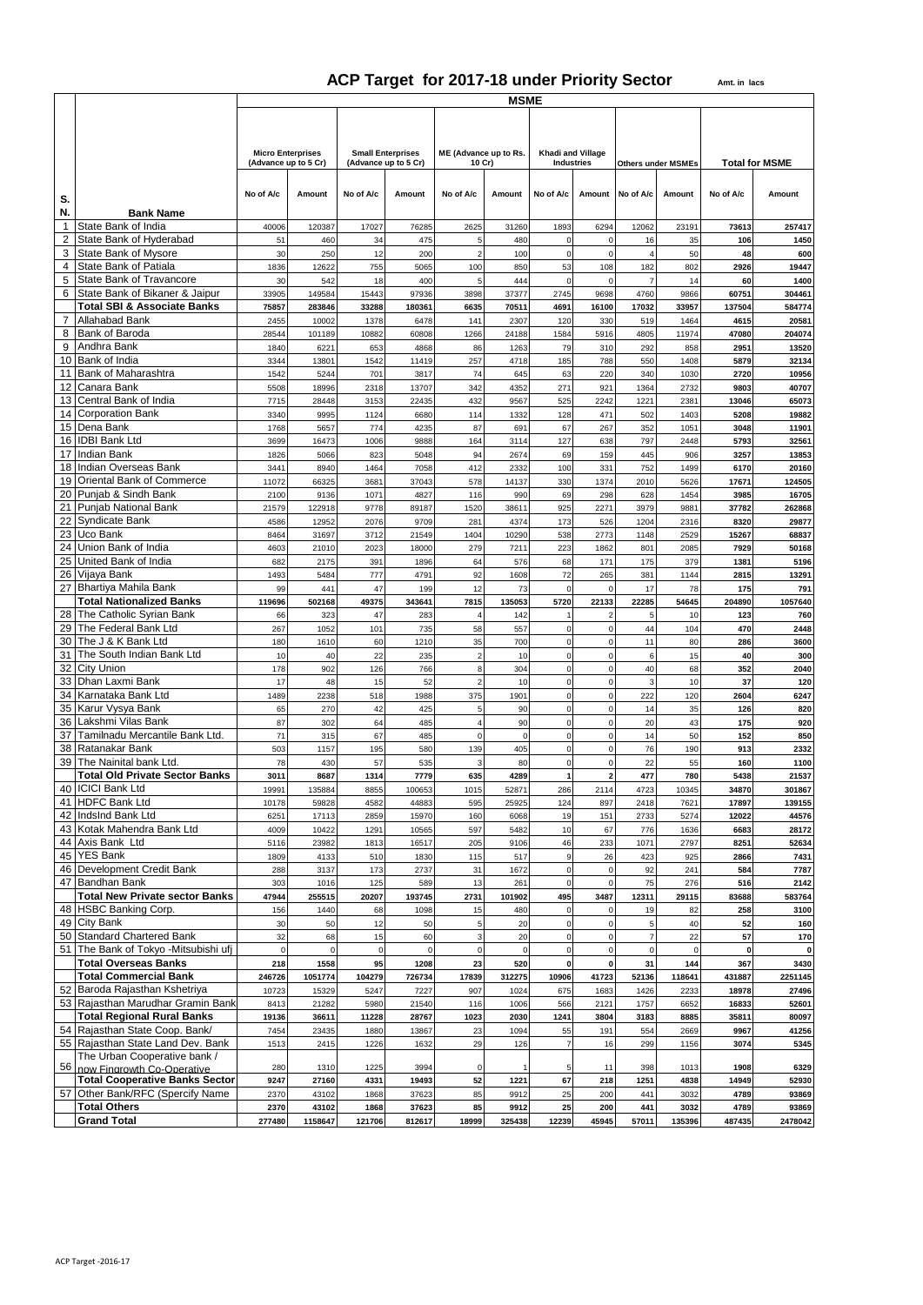# **ACP Target for 2017-18 under Priority Sector**

|                 |                                                               | <b>MSME</b>                                      |             |                          |             |                                 |             |                                        |                         |                |                           |             |                       |  |
|-----------------|---------------------------------------------------------------|--------------------------------------------------|-------------|--------------------------|-------------|---------------------------------|-------------|----------------------------------------|-------------------------|----------------|---------------------------|-------------|-----------------------|--|
|                 |                                                               |                                                  |             |                          |             |                                 |             |                                        |                         |                |                           |             |                       |  |
|                 |                                                               |                                                  |             |                          |             |                                 |             |                                        |                         |                |                           |             |                       |  |
|                 |                                                               |                                                  |             |                          |             |                                 |             |                                        |                         |                |                           |             |                       |  |
|                 |                                                               | <b>Micro Enterprises</b><br>(Advance up to 5 Cr) |             | <b>Small Enterprises</b> |             | ME (Advance up to Rs.<br>10 Cr) |             | Khadi and Village<br><b>Industries</b> |                         |                | <b>Others under MSMEs</b> |             | <b>Total for MSME</b> |  |
|                 |                                                               |                                                  |             | (Advance up to 5 Cr)     |             |                                 |             |                                        |                         |                |                           |             |                       |  |
|                 |                                                               |                                                  |             |                          |             |                                 |             |                                        |                         |                |                           |             |                       |  |
| S.              |                                                               | No of A/c                                        | Amount      | No of A/c                | Amount      | No of A/c                       | Amount      | No of A/c                              | Amount                  | No of A/c      | Amount                    | No of A/c   | Amount                |  |
| N.              | <b>Bank Name</b>                                              |                                                  |             |                          |             |                                 |             |                                        |                         |                |                           |             |                       |  |
| 1               | State Bank of India                                           | 40006                                            | 120387      | 17027                    | 76285       | 2625                            | 31260       | 1893                                   | 6294                    | 12062          | 23191                     | 73613       | 257417                |  |
| $\overline{2}$  | State Bank of Hyderabad                                       | 51                                               | 460         | 34                       | 475         | 5                               | 480         | $\mathsf{O}\xspace$                    | $\mathbf 0$             | 16             | 35                        | 106         | 1450                  |  |
| 3               | State Bank of Mysore                                          | 30                                               | 250         | 12                       | 200         | 2                               | 100         | $\mathbf 0$                            | $\mathbf 0$             | $\overline{4}$ | 50                        | 48          | 600                   |  |
| 4               | State Bank of Patiala                                         | 1836                                             | 12622       | 755                      | 5065        | 100                             | 850         | 53                                     | 108                     | 182            | 802                       | 2926        | 19447                 |  |
| 5               | State Bank of Travancore                                      | 30                                               | 542         | 18                       | 400         | 5                               | 444         | $\mathbf 0$                            | $\mathbf 0$             | $\overline{7}$ | 14                        | 60          | 1400                  |  |
| 6               | State Bank of Bikaner & Jaipur                                | 33905                                            | 149584      | 15443                    | 97936       | 3898                            | 37377       | 2745                                   | 9698                    | 4760           | 9866                      | 60751       | 304461                |  |
|                 | <b>Total SBI &amp; Associate Banks</b>                        | 75857                                            | 283846      | 33288                    | 180361      | 6635                            | 70511       | 4691                                   | 16100                   | 17032          | 33957                     | 137504      | 584774                |  |
| 7               | Allahabad Bank                                                | 2455                                             | 10002       | 1378                     | 6478        | 141                             | 2307        | 120                                    | 330                     | 519            | 1464                      | 4615        | 20581                 |  |
| 8               | Bank of Baroda                                                | 28544                                            | 101189      | 10882                    | 60808       | 1266                            | 24188       | 1584                                   | 5916                    | 4805           | 11974                     | 47080       | 204074                |  |
| 9               | Andhra Bank                                                   | 1840                                             | 6221        | 653                      | 4868        | 86                              | 1263        | 79                                     | 310                     | 292            | 858                       | 2951        | 13520                 |  |
|                 | 10 Bank of India                                              | 3344                                             | 13801       | 1542                     | 11419       | 257                             | 4718        | 185                                    | 788                     | 550            | 1408                      | 5879        | 32134                 |  |
| 11              | <b>Bank of Maharashtra</b>                                    | 1542                                             | 5244        | 701                      | 3817        | 74                              | 645         | 63                                     | 220                     | 340            | 1030                      | 2720        | 10956                 |  |
| 12 <sup>2</sup> | Canara Bank                                                   | 5508                                             | 18996       | 2318                     | 13707       | 342                             | 4352        | 271                                    | 921                     | 1364           | 2732                      | 9803        | 40707                 |  |
| 13              | Central Bank of India                                         | 7715                                             | 28448       | 3153                     | 22435       | 432                             | 9567        | 525                                    | 2242                    | 1221           | 2381                      | 13046       | 65073                 |  |
|                 | 14 Corporation Bank                                           | 3340                                             | 9995        | 1124                     | 6680        | 114                             | 1332        | 128                                    | 471                     | 502            | 1403                      | 5208        | 19882                 |  |
|                 | 15 Dena Bank                                                  | 1768                                             | 5657        | 774                      | 4235        | 87                              | 691         | 67                                     | 267                     | 352            | 1051                      | 3048        | 11901                 |  |
|                 | 16 IDBI Bank Ltd                                              | 3699                                             | 16473       | 1006                     | 9888        | 164                             | 3114        | 127                                    | 638                     | 797            | 2448                      | 5793        | 32561                 |  |
|                 | 17 Indian Bank                                                | 1826                                             | 5066        | 823                      | 5048        | 94                              | 2674        | 69                                     | 159                     | 445            | 906                       | 3257        | 13853                 |  |
|                 | 18 Indian Overseas Bank                                       | 3441                                             | 8940        | 1464                     | 7058        | 412                             | 2332        | 100                                    | 331                     | 752            | 1499                      | 6170        | 20160                 |  |
|                 | 19 Oriental Bank of Commerce                                  | 11072                                            | 66325       | 3681                     | 37043       | 578                             | 14137       | 330                                    | 1374                    | 2010           | 5626                      | 17671       | 124505                |  |
|                 | 20 Punjab & Sindh Bank                                        | 2100                                             | 9136        | 1071                     | 4827        | 116                             | 990         | 69                                     | 298                     | 628            | 1454                      | 3985        | 16705                 |  |
|                 | 21 Punjab National Bank                                       | 21579                                            | 122918      | 9778                     | 89187       | 1520                            | 38611       | 925                                    | 2271                    | 3979           | 9881                      | 37782       | 262868                |  |
| 22 I            | Syndicate Bank                                                | 4586                                             | 12952       | 2076                     | 9709        | 281                             | 4374        | 173                                    | 526                     | 1204           | 2316                      | 8320        | 29877                 |  |
|                 | 23 Uco Bank                                                   | 8464                                             | 31697       | 3712                     | 21549       | 1404                            | 10290       | 538                                    | 2773                    | 1148           | 2529                      | 15267       | 68837                 |  |
|                 | 24 Union Bank of India                                        | 4603                                             | 21010       | 2023                     | 18000       | 279                             | 7211        | 223                                    | 1862                    | 801            | 2085                      | 7929        | 50168                 |  |
|                 | 25 United Bank of India                                       | 682                                              | 2175        | 391                      | 1896        | 64                              | 576         | 68                                     | 171                     | 175            | 379                       | 1381        | 5196                  |  |
|                 | 26 Vijaya Bank                                                | 1493                                             | 5484        | 777                      | 4791        | 92                              | 1608        | 72                                     | 265                     | 381            | 1144                      | 2815        | 13291                 |  |
|                 | 27 Bhartiya Mahila Bank                                       | 99                                               | 441         | 47                       | 199         | 12                              | 73          | $\mathbf 0$                            | $\mathbf 0$             | 17             | 78                        | 175         | 791                   |  |
|                 | <b>Total Nationalized Banks</b>                               | 119696                                           | 502168      | 49375                    | 343641      | 7815                            | 135053      | 5720                                   | 22133                   | 22285          | 54645                     | 204890      | 1057640               |  |
|                 | 28 The Catholic Syrian Bank                                   | 66                                               | 323         | 47                       | 283         | $\overline{4}$                  | 142         | $\mathbf{1}$                           | $\overline{c}$          | 5              | 10                        | 123         | 760                   |  |
|                 | 29 The Federal Bank Ltd                                       | 267                                              | 1052        | 101                      | 735         | 58                              | 557         | $\mathbf 0$                            | $\mathbf 0$             | 44             | 104                       | 470         | 2448                  |  |
| 30              | The J & K Bank Ltd                                            | 180                                              | 1610        | 60                       | 1210        | 35                              | 700         | $\mathbf 0$                            | $\mathbf 0$             | 11             | 80                        | 286         | 3600                  |  |
|                 | 31 The South Indian Bank Ltd                                  | 10                                               | 40          | 22                       | 235         | $\overline{\phantom{a}}$        | 10          | $\mathsf{O}\xspace$                    | $\mathbf 0$             | 6              | 15                        | 40          | 300                   |  |
| 32              | <b>City Union</b>                                             | 178                                              | 902         | 126                      | 766         | ε                               | 304         | $\mathsf 0$                            | $\mathbf 0$             | 40             | 68                        | 352         | 2040                  |  |
|                 | 33 Dhan Laxmi Bank                                            | 17                                               | 48          | 15                       | 52          | 2                               | 10          | $\mathsf{O}\xspace$                    | $\mathbf 0$             | 3              | 10                        | 37          | 120                   |  |
|                 | 34 Karnataka Bank Ltd                                         | 1489                                             | 2238        | 518                      | 1988        | 375                             | 1901        | $\mathbf 0$                            | $\Omega$                | 222            | 120                       | 2604        | 6247                  |  |
| 35 I            | Karur Vysva Bank                                              | 65                                               | 270         | 42                       | 425         | F                               | 90          | $\mathbf 0$                            | $\mathbf 0$             | 14             | 35                        | 126         | 820                   |  |
| 36              | Lakshmi Vilas Bank                                            | 87                                               | 302         | 64                       | 485         |                                 | 90          | $\mathsf{O}\xspace$                    | $\mathbf 0$             | 20             | 43                        | 175         | 920                   |  |
| 37              | Tamilnadu Mercantile Bank Ltd.                                | 71                                               | 315         | 67                       | 485         | $\mathbf 0$                     | $\mathbf 0$ | $\mathbf 0$                            | $\mathbf 0$             | 14             | 50                        | 152         | 850                   |  |
|                 | 38 Ratanakar Bank                                             | 503                                              | 1157        | 195                      | 580         | 139                             | 405         | $\mathsf{O}\xspace$                    | $\mathbf 0$             | 76             | 190                       | 913         | 2332                  |  |
| 39              | The Nainital bank Ltd.                                        | 78                                               | 430         | 57                       | 535         | ß                               | 80          | $\mathsf{O}\xspace$                    | $\mathbf 0$             | 22             | 55                        | 160         | 1100                  |  |
|                 | <b>Total Old Private Sector Banks</b>                         | 3011                                             | 8687        | 1314                     | 7779        | 635                             | 4289        | $\mathbf{1}$                           | $\overline{\mathbf{2}}$ | 477            | 780                       | 5438        | 21537                 |  |
|                 | 40 ICICI Bank Ltd                                             | 19991                                            | 135884      | 8855                     | 100653      | 1015                            | 52871       | 286                                    | 2114                    | 4723           | 10345                     | 34870       | 301867                |  |
|                 | 41 HDFC Bank Ltd                                              | 10178                                            | 59828       | 4582                     | 44883       | 595                             | 25925       | 124                                    | 897                     | 2418           | 7621                      | 17897       | 139155                |  |
|                 | 42 IndsInd Bank Ltd                                           | 6251                                             | 17113       | 2859                     | 15970       | 160                             | 6068        | 19                                     | 151                     | 2733           | 5274                      | 12022       | 44576                 |  |
|                 | 43 Kotak Mahendra Bank Ltd                                    | 4009                                             | 10422       | 1291                     | 10565       | 597                             | 5482        | 10                                     | 67                      | 776            | 1636                      | 6683        | 28172                 |  |
|                 | 44 Axis Bank Ltd                                              | 5116                                             | 23982       | 1813                     | 16517       | 205                             | 9106        | 46                                     | 233                     | 1071           | 2797                      | 8251        | 52634                 |  |
|                 | 45 YES Bank                                                   | 1809                                             | 4133        | 510                      | 1830        | 115                             | 517         | $\mathsf g$                            | 26                      | 423            | 925                       | 2866        | 7431                  |  |
|                 | 46 Development Credit Bank                                    | 288                                              | 3137        | 173                      | 2737        | 31                              | 1672        | $\mathbf 0$                            | $\mathbf 0$             | 92             | 241                       | 584         | 7787                  |  |
|                 | 47 Bandhan Bank                                               | 303                                              | 1016        | 125                      | 589         | 13                              | 261         | $\mathsf{o}$                           | $\mathbf 0$             | 75             | 276                       | 516         | 2142                  |  |
|                 | <b>Total New Private sector Banks</b>                         | 47944                                            | 255515      | 20207                    | 193745      | 2731                            | 101902      | 495                                    | 3487                    | 12311          | 29115                     | 83688       | 583764                |  |
|                 | 48 HSBC Banking Corp.                                         | 156                                              | 1440        | 68                       | 1098        | 15                              | 480         | $\mathsf{O}\xspace$                    | $\mathbf 0$             | 19             | 82                        | 258         | 3100                  |  |
|                 | 49 City Bank                                                  | 30                                               | 50          | 12                       | 50          | 5                               | 20          | $\mathbf 0$                            | $\mathbf 0$             | 5              | 40                        | 52          | 160                   |  |
|                 | 50 Standard Chartered Bank                                    | 32                                               | 68          | 15                       | 60          | ć                               | 20          | $\mathsf{o}$                           | $\mathbf 0$             | $\overline{7}$ | 22                        | 57          | 170                   |  |
|                 | 51 The Bank of Tokyo - Mitsubishi ufj                         | $\mathbf 0$                                      | $\mathbf 0$ | $\mathbf 0$              | $\mathbf 0$ | $\mathbf 0$                     | $\mathbf 0$ | $\mathsf{O}\xspace$                    | $\mathbf 0$             | $\mathbf 0$    | $\mathbf 0$               | $\mathbf 0$ | $\mathbf 0$           |  |
|                 | <b>Total Overseas Banks</b>                                   | 218                                              | 1558        | 95                       | 1208        | 23                              | 520         | $\pmb{0}$                              | 0                       | 31             | 144                       | 367         | 3430                  |  |
|                 | <b>Total Commercial Bank</b>                                  | 246726                                           | 1051774     | 104279                   | 726734      | 17839                           | 312275      | 10906                                  | 41723                   | 52136          | 118641                    | 431887      | 2251145               |  |
|                 | 52 Baroda Rajasthan Kshetriya                                 | 10723                                            | 15329       | 5247                     | 7227        | 907                             | 1024        | 675                                    | 1683                    | 1426           | 2233                      | 18978       | 27496                 |  |
|                 | 53 Rajasthan Marudhar Gramin Bank                             | 8413                                             | 21282       | 5980                     | 21540       | 116                             | 1006        | 566                                    | 2121                    | 1757           | 6652                      | 16833       | 52601                 |  |
|                 | <b>Total Regional Rural Banks</b>                             | 19136                                            | 36611       | 11228                    | 28767       | 1023                            | 2030        | 1241                                   | 3804                    | 3183           | 8885                      | 35811       | 80097                 |  |
|                 | 54 Rajasthan State Coop. Bank/                                | 7454                                             | 23435       | 1880                     | 13867       | 23                              | 1094        | 55                                     | 191                     | 554            | 2669                      | 9967        | 41256                 |  |
|                 | 55 Rajasthan State Land Dev. Bank                             | 1513                                             | 2415        | 1226                     | 1632        | 29                              | 126         | $\overline{7}$                         | 16                      | 299            | 1156                      | 3074        | 5345                  |  |
|                 | The Urban Cooperative bank /<br>56 now Fingrowth Co-Operative | 280                                              | 1310        | 1225                     | 3994        | 0                               |             | 5                                      | 11                      | 398            | 1013                      | 1908        | 6329                  |  |
|                 | <b>Total Cooperative Banks Sector</b>                         | 9247                                             | 27160       | 4331                     | 19493       | 52                              | 1221        | 67                                     | 218                     | 1251           | 4838                      | 14949       | 52930                 |  |
|                 | 57 Other Bank/RFC (Spercify Name                              | 2370                                             | 43102       | 1868                     | 37623       | 85                              | 9912        | 25                                     | 200                     | 441            | 3032                      | 4789        | 93869                 |  |
|                 | <b>Total Others</b>                                           | 2370                                             | 43102       | 1868                     | 37623       | 85                              | 9912        | 25                                     | 200                     | 441            | 3032                      | 4789        | 93869                 |  |
|                 | <b>Grand Total</b>                                            | 277480                                           | 1158647     | 121706                   | 812617      | 18999                           | 325438      | 12239                                  | 45945                   | 57011          | 135396                    | 487435      | 2478042               |  |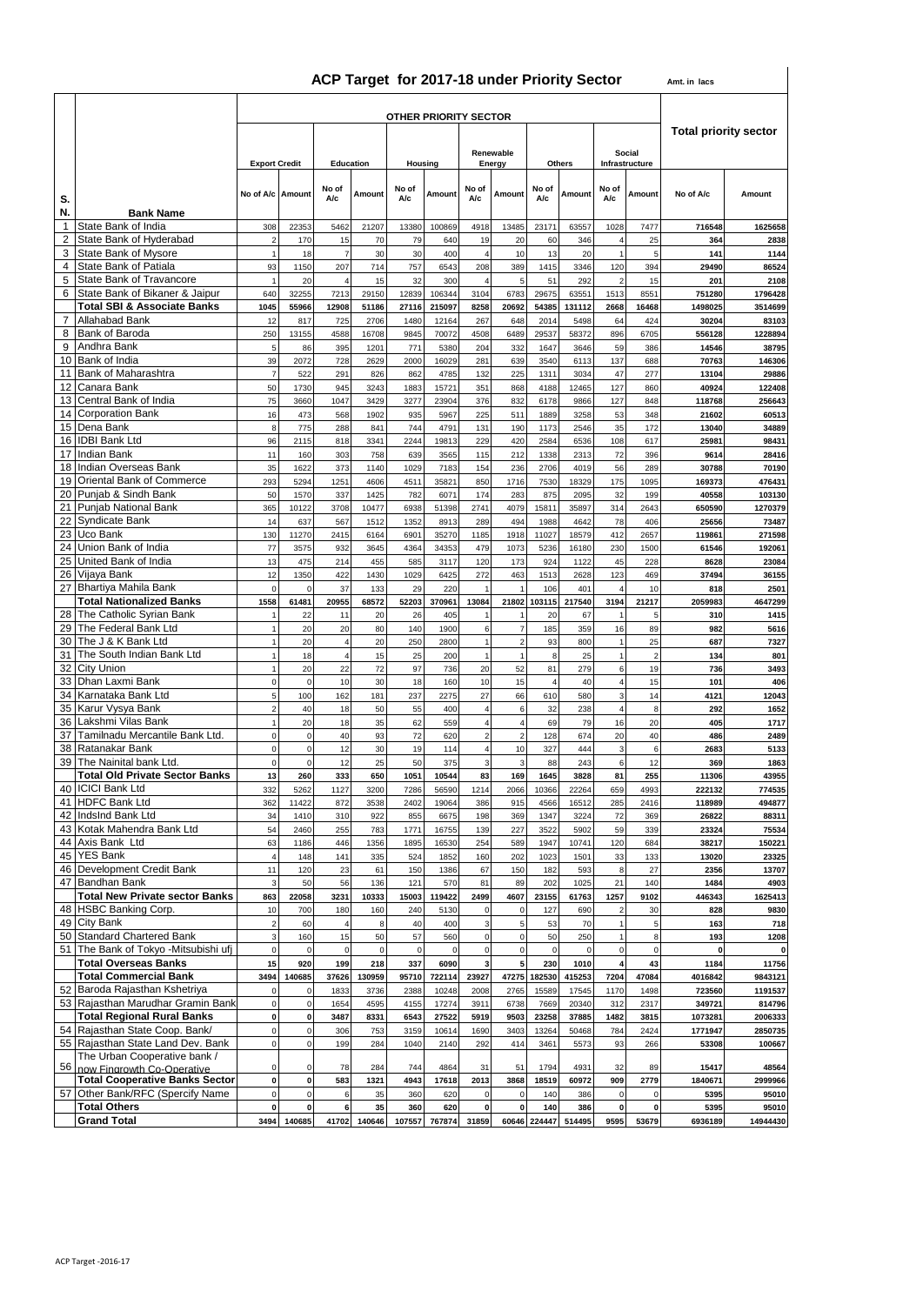#### **ACP Target for 2017-18 under Priority Sector Amt. in lacs**

|  | nt. in lacs |
|--|-------------|

|                     |                                                                     | <b>OTHER PRIORITY SECTOR</b> |                          |                     |               |              |                     |                                    |                     |                     |                     |                              |                      |                    |                   |  |  |
|---------------------|---------------------------------------------------------------------|------------------------------|--------------------------|---------------------|---------------|--------------|---------------------|------------------------------------|---------------------|---------------------|---------------------|------------------------------|----------------------|--------------------|-------------------|--|--|
|                     |                                                                     |                              |                          | Social<br>Renewable |               |              |                     |                                    |                     |                     |                     | <b>Total priority sector</b> |                      |                    |                   |  |  |
|                     |                                                                     | <b>Export Credit</b>         |                          | Education           |               |              | Housing             |                                    | Energy              |                     | Others              | Infrastructure               |                      |                    |                   |  |  |
| S.                  |                                                                     | No of A/c Amount             |                          | No of<br>A/c        | Amount        | No of<br>A/c | Amount              | No of<br>A/c                       | Amount              | No of<br><b>A/c</b> | Amount              | No of<br>A/c                 | Amount               | No of A/c          | Amount            |  |  |
| N.<br>$\mathbf{1}$  | <b>Bank Name</b><br>State Bank of India                             | 308                          | 22353                    | 5462                | 21207         | 13380        | 100869              | 4918                               | 13485               | 23171               | 63557               | 1028                         | 7477                 | 716548             | 1625658           |  |  |
| 2                   | State Bank of Hyderabad                                             | $\overline{2}$               | 170                      | 15                  | 70            | 79           | 640                 | 19                                 | 20                  | 60                  | 346                 |                              | 25                   | 364                | 2838              |  |  |
| 3<br>4              | State Bank of Mysore<br>State Bank of Patiala                       | $\overline{1}$<br>93         | 18                       | $\overline{7}$      | 30            | 30<br>757    | 400                 | $\overline{4}$<br>208              | 10<br>389           | 13                  | 20<br>3346          |                              | $\sqrt{5}$<br>394    | 141                | 1144<br>86524     |  |  |
| 5                   | State Bank of Travancore                                            |                              | 1150<br>20               | 207                 | 714<br>15     | 32           | 6543<br>300         | $\overline{4}$                     | 5                   | 1415<br>51          | 292                 | 120                          | 15                   | 29490<br>201       | 2108              |  |  |
| 6                   | State Bank of Bikaner & Jaipur                                      | 640                          | 32255                    | 7213                | 29150         | 12839        | 106344              | 3104                               | 6783                | 29675               | 63551               | 1513                         | 8551                 | 751280             | 1796428           |  |  |
|                     | <b>Total SBI &amp; Associate Banks</b>                              | 1045                         | 55966                    | 12908               | 51186         | 27116        | 215097              | 8258                               | 20692               | 54385               | 131112              | 2668                         | 16468                | 1498025            | 3514699           |  |  |
| $\overline{7}$<br>8 | Allahabad Bank<br>Bank of Baroda                                    | 12<br>250                    | 817<br>13155             | 725<br>4588         | 2706<br>16708 | 1480<br>9845 | 12164<br>70072      | 267<br>4508                        | 648<br>6489         | 2014<br>29537       | 5498<br>58372       | 64<br>896                    | 424<br>6705          | 30204<br>556128    | 83103<br>1228894  |  |  |
| 9                   | Andhra Bank                                                         | 5                            | 86                       | 395                 | 1201          | 771          | 5380                | 204                                | 332                 | 1647                | 3646                | 59                           | 386                  | 14546              | 38795             |  |  |
| 10                  | Bank of India                                                       | 39                           | 2072                     | 728                 | 2629          | 2000         | 16029               | 281                                | 639                 | 3540                | 6113                | 137                          | 688                  | 70763              | 146306            |  |  |
| 11<br>12            | Bank of Maharashtra<br>Canara Bank                                  | $\overline{7}$<br>50         | 522<br>1730              | 291<br>945          | 826<br>3243   | 862<br>1883  | 4785<br>15721       | 132<br>351                         | 225<br>868          | 1311<br>4188        | 3034<br>12465       | 47<br>127                    | 277<br>860           | 13104<br>40924     | 29886<br>122408   |  |  |
| 13                  | Central Bank of India                                               | 75                           | 3660                     | 1047                | 3429          | 3277         | 23904               | 376                                | 832                 | 6178                | 9866                | 127                          | 848                  | 118768             | 256643            |  |  |
| 14                  | <b>Corporation Bank</b>                                             | 16                           | 473                      | 568                 | 1902          | 935          | 5967                | 225                                | 511                 | 1889                | 3258                | 53                           | 348                  | 21602              | 60513             |  |  |
| 15                  | Dena Bank                                                           | 8                            | 775                      | 288                 | 841           | 744          | 4791                | 131                                | 190                 | 1173                | 2546                | 35                           | 172                  | 13040              | 34889             |  |  |
| 16<br>17            | <b>IDBI Bank Ltd</b><br><b>Indian Bank</b>                          | 96<br>11                     | 2115<br>160              | 818<br>303          | 3341<br>758   | 2244<br>639  | 19813<br>3565       | 229<br>115                         | 420<br>212          | 2584<br>1338        | 6536<br>2313        | 108<br>72                    | 617<br>396           | 25981<br>9614      | 98431<br>28416    |  |  |
| 18                  | Indian Overseas Bank                                                | 35                           | 1622                     | 373                 | 1140          | 1029         | 7183                | 154                                | 236                 | 2706                | 4019                | 56                           | 289                  | 30788              | 70190             |  |  |
| 19                  | Oriental Bank of Commerce                                           | 293                          | 5294                     | 1251                | 4606          | 4511         | 35821               | 850                                | 1716                | 7530                | 18329               | 175                          | 1095                 | 169373             | 476431            |  |  |
| 20<br>21            | Punjab & Sindh Bank<br>Punjab National Bank                         | 50<br>365                    | 1570                     | 337<br>3708         | 1425          | 782<br>6938  | 6071<br>51398       | 174                                | 283<br>4079         | 875                 | 2095                | 32                           | 199<br>2643          | 40558              | 103130            |  |  |
| 22                  | Syndicate Bank                                                      | 14                           | 10122<br>637             | 567                 | 10477<br>1512 | 1352         | 8913                | 2741<br>289                        | 494                 | 15811<br>1988       | 35897<br>4642       | 314<br>78                    | 406                  | 650590<br>25656    | 1270379<br>73487  |  |  |
| 23                  | Uco Bank                                                            | 130                          | 11270                    | 2415                | 6164          | 6901         | 35270               | 1185                               | 1918                | 11027               | 18579               | 412                          | 2657                 | 119861             | 271598            |  |  |
| 24                  | Union Bank of India                                                 | 77                           | 3575                     | 932                 | 3645          | 4364         | 34353               | 479                                | 1073                | 5236                | 16180               | 230                          | 1500                 | 61546              | 192061            |  |  |
| 25                  | United Bank of India<br>26 Vijaya Bank                              | 13<br>12                     | 475<br>1350              | 214                 | 455<br>1430   | 585          | 3117<br>6425        | 120<br>272                         | 173<br>463          | 924<br>1513         | 1122<br>2628        | 45<br>123                    | 228<br>469           | 8628<br>37494      | 23084<br>36155    |  |  |
|                     | 27 Bhartiya Mahila Bank                                             | $\mathsf 0$                  | $\mathbf 0$              | 422<br>37           | 133           | 1029<br>29   | 220                 |                                    |                     | 106                 | 401                 |                              | 10                   | 818                | 2501              |  |  |
|                     | <b>Total Nationalized Banks</b>                                     | 1558                         | 61481                    | 20955               | 68572         | 52203        | 370961              | 13084                              | 21802               | 103115              | 217540              | 3194                         | 21217                | 2059983            | 4647299           |  |  |
|                     | 28 The Catholic Syrian Bank                                         |                              | 22                       | 11                  | 20            | 26           | 405                 |                                    |                     | 20                  | 67                  |                              | 5                    | 310                | 1415              |  |  |
| 29                  | The Federal Bank Ltd<br>The J & K Bank Ltd                          |                              | 20                       | 20                  | 80            | 140          | 1900                | $\boldsymbol{6}$<br>$\overline{1}$ | 7<br>$\overline{2}$ | 185                 | 359                 | 16                           | 89                   | 982                | 5616              |  |  |
| 30<br>31            | The South Indian Bank Ltd                                           | $\overline{1}$               | 20<br>18                 | $\overline{4}$      | 20<br>15      | 250<br>25    | 2800<br>200         | $\overline{1}$                     |                     | 93<br>8             | 800<br>25           |                              | 25<br>$\overline{c}$ | 687<br>134         | 7327<br>801       |  |  |
| 32                  | <b>City Union</b>                                                   | $\mathbf{1}$                 | 20                       | 22                  | 72            | 97           | 736                 | 20                                 | 52                  | 81                  | 279                 | 6                            | 19                   | 736                | 3493              |  |  |
| 33                  | Dhan Laxmi Bank                                                     | $\mathbf 0$                  | $\pmb{0}$                | 10                  | 30            | 18           | 160                 | 10                                 | 15                  | $\overline{4}$      | 40                  | 4                            | 15                   | 101                | 406               |  |  |
| 34                  | Karnataka Bank Ltd<br>35 Karur Vysya Bank                           | $\sqrt{5}$<br>$\overline{2}$ | 100                      | 162                 | 181<br>50     | 237<br>55    | 2275                | 27<br>$\overline{4}$               | 66                  | 610<br>32           | 580                 | 3                            | 14<br>8              | 4121<br>292        | 12043             |  |  |
| 36                  | Lakshmi Vilas Bank                                                  | $\mathbf{1}$                 | 40<br>20                 | 18<br>18            | 35            | 62           | 400<br>559          | $\overline{4}$                     | 6<br>4              | 69                  | 238<br>79           | 16                           | 20                   | 405                | 1652<br>1717      |  |  |
| 37                  | Tamilnadu Mercantile Bank Ltd.                                      | $\mathbf 0$                  | 0                        | 40                  | 93            | 72           | 620                 | $\overline{2}$                     | $\overline{2}$      | 128                 | 674                 | 20                           | 40                   | 486                | 2489              |  |  |
| 38                  | Ratanakar Bank                                                      | $\mathsf 0$                  | $\mathsf{O}\xspace$      | 12                  | 30            | 19           | 114                 | $\sqrt{4}$                         | 10                  | 327                 | 444                 |                              | 6                    | 2683               | 5133              |  |  |
| 39                  | The Nainital bank Ltd.<br><b>Total Old Private Sector Banks</b>     | $\mathbf 0$<br>13            | $\mathbf 0$<br>260       | 12<br>333           | 25<br>650     | 50<br>1051   | 375<br>10544        | 3<br>83                            | 3<br>169            | 88<br>1645          | 243<br>3828         | 6<br>81                      | 12<br>255            | 369<br>11306       | 1863<br>43955     |  |  |
|                     | 40 ICICI Bank Ltd                                                   | 332                          | 5262                     | 1127                | 3200          | 7286         | 56590               | 1214                               | 2066                | 10366               | 22264               | 659                          | 4993                 | 222132             | 774535            |  |  |
|                     | 41 HDFC Bank Ltd                                                    | 362                          | 11422                    | 872                 | 3538          | 2402         | 19064               | 386                                | 915                 | 4566                | 16512               | 285                          | 2416                 | 118989             | 494877            |  |  |
|                     | 42 IndsInd Bank Ltd                                                 | 34                           | 1410                     | 310                 | 922           | 855          | 6675                | 198                                | 369                 | 1347                | 3224                | 72                           | 369                  | 26822              | 88311             |  |  |
|                     | 43 Kotak Mahendra Bank Ltd<br>44 Axis Bank Ltd                      | 54<br>63                     | 2460<br>1186             | 255<br>446          | 783<br>1356   | 1771<br>1895 | 16755<br>16530      | 139<br>254                         | 227<br>589          | 3522<br>1947        | 5902<br>10741       | 59<br>120                    | 339<br>684           | 23324<br>38217     | 75534<br>150221   |  |  |
|                     | 45 YES Bank                                                         | $\overline{4}$               | 148                      | 141                 | 335           | 524          | 1852                | 160                                | 202                 | 1023                | 1501                | 33                           | 133                  | 13020              | 23325             |  |  |
|                     | 46 Development Credit Bank                                          | 11                           | 120                      | 23                  | 61            | 150          | 1386                | 67                                 | 150                 | 182                 | 593                 |                              | 27                   | 2356               | 13707             |  |  |
|                     | 47 Bandhan Bank                                                     | 3                            | 50                       | 56                  | 136           | 121          | 570                 | 81                                 | 89                  | 202                 | 1025                | 21                           | 140                  | 1484               | 4903              |  |  |
|                     | <b>Total New Private sector Banks</b><br>48 HSBC Banking Corp.      | 863<br>10                    | 22058<br>700             | 3231<br>180         | 10333<br>160  | 15003<br>240 | 119422<br>5130      | 2499<br>$\mathbf 0$                | 4607<br>$\mathbf 0$ | 23155<br>127        | 61763<br>690        | 1257                         | 9102<br>30           | 446343<br>828      | 1625413<br>9830   |  |  |
|                     | 49 City Bank                                                        | $\sqrt{2}$                   | 60                       |                     | 8             | 40           | 400                 | $\mathbf 3$                        | 5                   | 53                  | 70                  |                              | $\sqrt{5}$           | 163                | 718               |  |  |
|                     | 50 Standard Chartered Bank                                          | $\overline{3}$               | 160                      | 15                  | 50            | 57           | 560                 | $\mathbf 0$                        | $\mathbf 0$         | 50                  | 250                 |                              | 8                    | 193                | 1208              |  |  |
|                     | 51 The Bank of Tokyo -Mitsubishi ufj                                | $\mathbf 0$                  | $\mathbf 0$              | $\mathbf 0$         | $\mathbf 0$   | $\mathbf 0$  | 0                   | $\mathbf 0$                        | 0                   | $\mathbf 0$         | $\mathbf 0$         | $\Omega$                     | $\mathbf 0$          | $\mathbf{0}$       | $\pmb{0}$         |  |  |
|                     | <b>Total Overseas Banks</b><br><b>Total Commercial Bank</b>         | 15<br>3494                   | 920<br>140685            | 199<br>37626        | 218<br>130959 | 337<br>95710 | 6090<br>722114      | 3<br>23927                         | 5<br>47275          | 230<br>182530       | 1010<br>415253      | 7204                         | 43<br>47084          | 1184<br>4016842    | 11756<br>9843121  |  |  |
|                     | 52 Baroda Rajasthan Kshetriya                                       | $\mathbf 0$                  |                          | 1833                | 3736          | 2388         | 10248               | 2008                               | 2765                | 15589               | 17545               | 1170                         | 1498                 | 723560             | 1191537           |  |  |
|                     | 53 Rajasthan Marudhar Gramin Bank                                   | $\pmb{0}$                    | $\pmb{0}$                | 1654                | 4595          | 4155         | 17274               | 3911                               | 6738                | 7669                | 20340               | 312                          | 2317                 | 349721             | 814796            |  |  |
|                     | <b>Total Regional Rural Banks</b><br>54 Rajasthan State Coop. Bank/ | $\pmb{0}$<br>$\mathbf 0$     | $\pmb{0}$<br>$\mathbf 0$ | 3487<br>306         | 8331<br>753   | 6543<br>3159 | 27522<br>10614      | 5919<br>1690                       | 9503<br>3403        | 23258<br>13264      | 37885<br>50468      | 1482<br>784                  | 3815<br>2424         | 1073281<br>1771947 | 2006333           |  |  |
|                     | 55 Rajasthan State Land Dev. Bank                                   | $\pmb{0}$                    | $\mathsf 0$              | 199                 | 284           | 1040         | 2140                | 292                                | 414                 | 3461                | 5573                | 93                           | 266                  | 53308              | 2850735<br>100667 |  |  |
|                     | The Urban Cooperative bank /                                        |                              |                          |                     |               |              |                     |                                    |                     |                     |                     |                              |                      |                    |                   |  |  |
| 56                  | now Fingrowth Co-Operative<br><b>Total Cooperative Banks Sector</b> | $\mathbf 0$<br>$\pmb{0}$     | 0<br>$\mathbf{0}$        | 78<br>583           | 284<br>1321   | 744<br>4943  | 4864<br>17618       | 31<br>2013                         | 51<br>3868          | 1794<br>18519       | 4931<br>60972       | 32<br>909                    | 89<br>2779           | 15417<br>1840671   | 48564<br>2999966  |  |  |
| 57                  | Other Bank/RFC (Spercify Name                                       | $\mathsf 0$                  | $\mathsf{O}\xspace$      | 6                   | 35            | 360          | 620                 | $\mathbf 0$                        | $\Omega$            | 140                 | 386                 |                              | 0                    | 5395               | 95010             |  |  |
|                     | <b>Total Others</b>                                                 | $\mathbf 0$                  | $\mathbf{0}$             | 6                   | 35            | 360          | 620                 | $\mathbf 0$                        | 0                   | 140                 | 386                 | $\Omega$                     | $\mathbf{0}$         | 5395               | 95010             |  |  |
|                     | <b>Grand Total</b>                                                  |                              | 3494 140685              |                     | 41702 140646  |              | 107557 767874 31859 |                                    |                     |                     | 60646 224447 514495 | 9595                         | 53679                | 6936189            | 14944430          |  |  |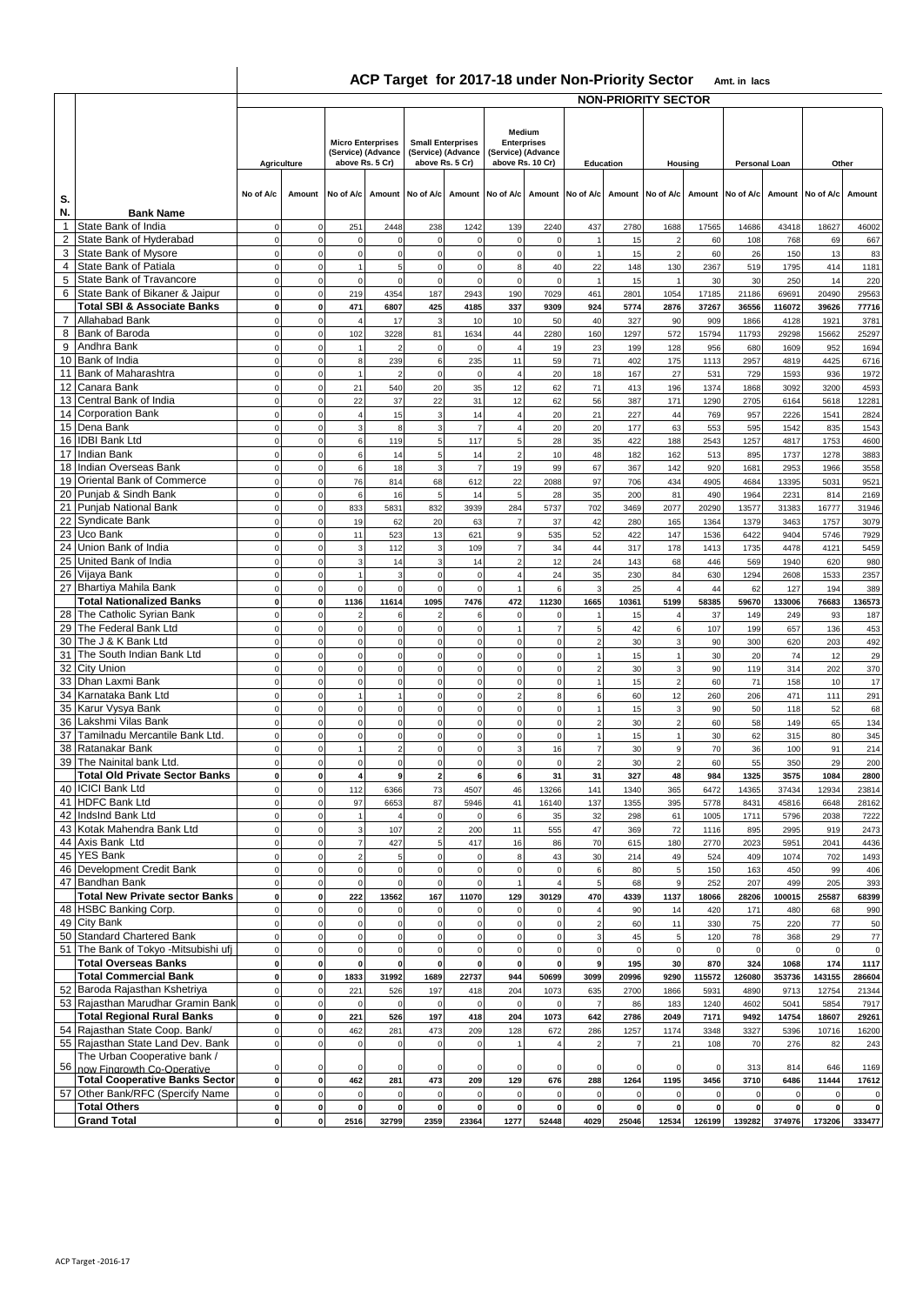## **ACP Target for 2017-18 under Non-Priority Sector Amt. in lacs**

 $\overline{\phantom{a}}$ 

|                 |                                                                   | <b>NON-PRIORITY SECTOR</b> |                             |                                                                   |                                                                   |                             |                             |                                                                                     |                            |                                  |                                   |                                  |                |                            |                |                            |                             |
|-----------------|-------------------------------------------------------------------|----------------------------|-----------------------------|-------------------------------------------------------------------|-------------------------------------------------------------------|-----------------------------|-----------------------------|-------------------------------------------------------------------------------------|----------------------------|----------------------------------|-----------------------------------|----------------------------------|----------------|----------------------------|----------------|----------------------------|-----------------------------|
|                 |                                                                   |                            | <b>Agriculture</b>          | <b>Micro Enterprises</b><br>(Service) (Advance<br>above Rs. 5 Cr) | <b>Small Enterprises</b><br>(Service) (Advance<br>above Rs. 5 Cr) |                             |                             | Medium<br><b>Enterprises</b><br>(Service) (Advance<br>above Rs. 10 Cr)<br>Education |                            | Housing                          |                                   | Personal Loan                    |                | Other                      |                |                            |                             |
| S.              |                                                                   | No of A/c                  |                             | Amount No of A/c<br>Amount                                        |                                                                   | No of A/c                   | Amount                      |                                                                                     |                            | No of A/c Amount No of A/c       |                                   | Amount No of A/c Amount          |                | No of A/c                  |                | Amount No of A/c           | Amount                      |
| N.              | <b>Bank Name</b>                                                  |                            |                             |                                                                   |                                                                   |                             |                             |                                                                                     |                            |                                  |                                   |                                  |                |                            |                |                            |                             |
| $\mathbf{1}$    | State Bank of India                                               | $\mathbf 0$                | $\mathbf 0$                 | 251                                                               | 2448                                                              | 238                         | 1242                        | 139                                                                                 | 2240                       | 437                              | 2780                              | 1688                             | 17565          | 14686                      | 43418          | 18627                      | 46002                       |
| 2<br>3          | State Bank of Hyderabad<br>State Bank of Mysore                   | $\Omega$<br>$\mathbf 0$    | $\mathbf 0$<br>$\mathsf 0$  | $\mathbf 0$<br>$\circ$                                            | $\mathbf 0$<br>$\mathbf 0$                                        | $\mathbf 0$<br>$\mathbf 0$  | $\mathbf 0$<br>$\mathbf 0$  | $\mathbf 0$<br>$\mathsf 0$                                                          | $\mathsf 0$<br>$\mathsf 0$ | $\overline{1}$                   | 15<br>15                          | $\overline{2}$<br>$\overline{2}$ | 60<br>60       | 108<br>26                  | 768<br>150     | 69<br>13                   | 667<br>83                   |
| $\overline{4}$  | State Bank of Patiala                                             | $\mathbf 0$                | $\mathbf 0$                 | $\overline{1}$                                                    | 5                                                                 | $\mathbf 0$                 | $\Omega$                    | 8                                                                                   | 40                         | 22                               | 148                               | 130                              | 2367           | 519                        | 1795           | 414                        | 1181                        |
| 5               | State Bank of Travancore                                          | $\mathbf 0$                | $\mathbf 0$                 | $\mathbf 0$                                                       | $\mathbf 0$                                                       | $\mathbf 0$                 | $\mathbf 0$                 | $\mathbf 0$                                                                         | $\mathbf 0$                | $\overline{1}$                   | 15                                | $\overline{1}$                   | 30             | 30                         | 250            | 14                         | 220                         |
| 6               | State Bank of Bikaner & Jaipur                                    | $\mathbf 0$                | $\mathsf 0$                 | 219                                                               | 4354                                                              | 187                         | 2943                        | 190                                                                                 | 7029                       | 461                              | 2801                              | 1054                             | 17185          | 21186                      | 69691          | 20490                      | 29563                       |
| $\overline{7}$  | <b>Total SBI &amp; Associate Banks</b><br>Allahabad Bank          | $\pmb{0}$<br>$\mathbf 0$   | $\mathbf 0$<br>0            | 471<br>$\overline{4}$                                             | 6807<br>17                                                        | 425<br>3                    | 4185<br>10                  | 337<br>10                                                                           | 9309<br>50                 | 924<br>40                        | 5774<br>327                       | 2876<br>90                       | 37267<br>909   | 36556<br>1866              | 116072<br>4128 | 39626<br>1921              | 77716<br>3781               |
| 8               | Bank of Baroda                                                    | $\Omega$                   | 0                           | 102                                                               | 3228                                                              | 81                          | 1634                        | 44                                                                                  | 2280                       | 160                              | 1297                              | 572                              | 15794          | 11793                      | 29298          | 15662                      | 25297                       |
| 9               | Andhra Bank                                                       | $\mathbf 0$                | $\mathbf 0$                 |                                                                   | $\overline{2}$                                                    | $\mathbf 0$                 | $\Omega$                    | $\overline{\mathbf{4}}$                                                             | 19                         | 23                               | 199                               | 128                              | 956            | 680                        | 1609           | 952                        | 1694                        |
|                 | 10 Bank of India                                                  | $\Omega$                   | $\Omega$                    | 8                                                                 | 239                                                               | 6                           | 235                         | 11                                                                                  | 59                         | 71                               | 402                               | 175                              | 1113           | 2957                       | 4819           | 4425                       | 6716                        |
| 12 <sup>2</sup> | 11 Bank of Maharashtra<br>Canara Bank                             | $\mathbf 0$<br>$\Omega$    | $\mathbf 0$<br>$\Omega$     | 21                                                                | 540                                                               | $\mathbf 0$<br>20           | $\mathbf 0$<br>35           | $\overline{4}$                                                                      | 20                         | 18<br>71                         | 167<br>413                        | 27<br>196                        | 531<br>1374    | 729<br>1868                | 1593           | 936<br>3200                | 1972                        |
|                 | 13 Central Bank of India                                          | $\mathbf 0$                | $\Omega$                    | 22                                                                | 37                                                                | 22                          | 31                          | 12<br>12                                                                            | 62<br>62                   | 56                               | 387                               | 171                              | 1290           | 2705                       | 3092<br>6164   | 5618                       | 4593<br>12281               |
|                 | 14 Corporation Bank                                               | $\mathbf 0$                | $\Omega$                    | $\overline{4}$                                                    | 15                                                                | $\overline{3}$              | 14                          | $\overline{\mathbf{4}}$                                                             | 20                         | 21                               | 227                               | 44                               | 769            | 957                        | 2226           | 1541                       | 2824                        |
|                 | 15 Dena Bank                                                      | $\Omega$                   | $\Omega$                    | 3                                                                 | 8                                                                 | 3                           | $\overline{7}$              | $\overline{4}$                                                                      | 20                         | 20                               | 177                               | 63                               | 553            | 595                        | 1542           | 835                        | 1543                        |
|                 | 16 IDBI Bank Ltd<br>17 Indian Bank                                | $\mathbf 0$<br>$\Omega$    | $\Omega$<br>$\Omega$        | 6<br>6                                                            | 119<br>14                                                         | 5<br>5                      | 117<br>14                   | 5<br>$\overline{2}$                                                                 | 28<br>10                   | 35<br>48                         | 422<br>182                        | 188                              | 2543<br>513    | 1257<br>895                | 4817<br>1737   | 1753<br>1278               | 4600                        |
|                 | 18 Indian Overseas Bank                                           | $\mathbf 0$                | $\mathbf 0$                 | 6                                                                 | 18                                                                | 3                           | $\overline{7}$              | 19                                                                                  | 99                         | 67                               | 367                               | 162<br>142                       | 920            | 1681                       | 2953           | 1966                       | 3883<br>3558                |
|                 | 19 Oriental Bank of Commerce                                      | $\mathbf 0$                | $\mathsf 0$                 | 76                                                                | 814                                                               | 68                          | 612                         | 22                                                                                  | 2088                       | 97                               | 706                               | 434                              | 4905           | 4684                       | 13395          | 5031                       | 9521                        |
|                 | 20 Punjab & Sindh Bank                                            | $\mathbf 0$                | $\mathbf 0$                 | 6                                                                 | 16                                                                | 5                           | 14                          | $\sqrt{5}$                                                                          | 28                         | 35                               | 200                               | 81                               | 490            | 1964                       | 2231           | 814                        | 2169                        |
|                 | 21 Punjab National Bank                                           | $\mathbf 0$                | $\mathbf 0$                 | 833                                                               | 5831                                                              | 832                         | 3939                        | 284                                                                                 | 5737                       | 702                              | 3469                              | 2077                             | 20290          | 13577                      | 31383          | 16777                      | 31946                       |
| 23              | 22 Syndicate Bank<br>Uco Bank                                     | $\mathbf 0$<br>$\mathbf 0$ | $\mathsf 0$<br>$\mathsf 0$  | 19<br>11                                                          | 62<br>523                                                         | 20<br>13                    | 63<br>621                   | $\overline{7}$<br>9                                                                 | 37<br>535                  | 42<br>52                         | 280<br>422                        | 165<br>147                       | 1364<br>1536   | 1379<br>6422               | 3463<br>9404   | 1757<br>5746               | 3079<br>7929                |
| 24              | Union Bank of India                                               | $\mathbf 0$                | $\mathbf 0$                 | 3                                                                 | 112                                                               | 3                           | 109                         | $\overline{7}$                                                                      | 34                         | 44                               | 317                               | 178                              | 1413           | 1735                       | 4478           | 4121                       | 5459                        |
| 25              | United Bank of India                                              | $\Omega$                   | $\Omega$                    | 3                                                                 | 14                                                                | 3                           | 14                          | $\overline{2}$                                                                      | 12                         | 24                               | 143                               | 68                               | 446            | 569                        | 1940           | 620                        | 980                         |
|                 | 26 Vijaya Bank<br>27 Bhartiya Mahila Bank                         | $\Omega$                   | $\Omega$                    | $\overline{1}$                                                    | 3                                                                 | $\mathbf 0$                 | $\mathbf 0$                 | $\overline{4}$                                                                      | 24                         | 35                               | 230                               | 84                               | 630            | 1294                       | 2608           | 1533                       | 2357                        |
|                 | <b>Total Nationalized Banks</b>                                   | $\mathbf 0$<br>$\pmb{0}$   | $\mathbf 0$<br>$\mathbf 0$  | $\circ$<br>1136                                                   | $\mathbf 0$<br>11614                                              | $\Omega$<br>1095            | $\mathbf 0$<br>7476         | 472                                                                                 | 6<br>11230                 | 3<br>1665                        | 25<br>10361                       | $\overline{4}$<br>5199           | 44<br>58385    | 62<br>59670                | 127<br>133006  | 194<br>76683               | 389<br>136573               |
| 28              | The Catholic Syrian Bank                                          | $\mathbf 0$                | $\mathbf 0$                 | $\mathcal{L}$                                                     | 6                                                                 | $\mathcal{P}$               | 6                           | $\mathbf 0$                                                                         | $\Omega$                   |                                  | 15                                | $\overline{4}$                   | 37             | 149                        | 249            | 93                         | 187                         |
| 29              | The Federal Bank Ltd                                              | $\mathbf 0$                | $\Omega$                    | $\mathbf 0$                                                       | $\pmb{0}$                                                         | $\mathbf 0$                 | $\mathbf 0$                 | $\mathbf{1}$                                                                        | $\overline{7}$             | 5                                | 42                                | 6                                | 107            | 199                        | 657            | 136                        | 453                         |
| 30              | The J & K Bank Ltd                                                | $\Omega$                   | $\Omega$                    | $\mathbf 0$                                                       | $\mathbf 0$                                                       | $\mathbf 0$                 | $\mathbf 0$                 | $\mathbf 0$                                                                         | $\mathbf 0$                | $\overline{2}$                   | 30                                | 3                                | 90             | 300                        | 620            | 203                        | 492                         |
| 31              | The South Indian Bank Ltd<br>32 City Union                        | $\Omega$<br>$\Omega$       | $\Omega$<br>$\Omega$        | $\mathbf 0$<br>$\mathbf 0$                                        | $\Omega$<br>$\mathbf 0$                                           | $\Omega$                    | $\Omega$<br>$\Omega$        | $\mathbf 0$<br>$\mathbf 0$                                                          | $\Omega$<br>$\Omega$       |                                  | 15<br>30                          | 3                                | 30<br>90       | 20<br>119                  | 74<br>314      | 12<br>202                  | 29<br>370                   |
|                 | 33 Dhan Laxmi Bank                                                | $\mathbf 0$                | $\Omega$                    | $\Omega$                                                          | $\mathbf 0$                                                       |                             | $\Omega$                    | $\mathbf 0$                                                                         | $\Omega$                   |                                  | 15                                | $\overline{a}$                   | 60             | 71                         | 158            | 10                         | 17                          |
|                 | 34 Karnataka Bank Ltd                                             | $\Omega$                   | $\Omega$                    |                                                                   |                                                                   | $\Omega$                    | $\Omega$                    | $\overline{a}$                                                                      | 8                          | 6                                | 60                                | 12                               | 260            | 206                        | 471            | 111                        | 291                         |
|                 | 35 Karur Vysya Bank                                               | $\mathbf 0$                | $\mathbf 0$                 | $\Omega$                                                          | $\Omega$                                                          | $\Omega$                    | $\Omega$                    | 0                                                                                   | $\Omega$                   |                                  | 15                                | 3                                | 90             | 50                         | 118            | 52                         | 68                          |
| 36<br>37        | Lakshmi Vilas Bank<br>Tamilnadu Mercantile Bank Ltd.              | $\mathbf 0$<br>$\mathbf 0$ | $\mathbf 0$<br>$\mathbf 0$  | $\mathbf 0$<br>$\mathbf 0$                                        | $\mathbf 0$<br>$\mathbf 0$                                        | $\Omega$<br>$\mathbf 0$     | $\Omega$<br>$\mathbf 0$     | $\mathbf 0$<br>$\mathbf 0$                                                          | $\mathbf 0$<br>$\mathbf 0$ | $\overline{2}$<br>$\overline{1}$ | 30<br>15                          | $\overline{2}$<br>$\mathbf{1}$   | 60<br>30       | 58<br>62                   | 149<br>315     | 65<br>80                   | 134<br>345                  |
| 38              | Ratanakar Bank                                                    | $\mathbf 0$                | $\mathsf 0$                 | $\overline{1}$                                                    | $\overline{2}$                                                    | $\mathbf 0$                 | $\mathbf 0$                 | $\overline{3}$                                                                      | 16                         | $\overline{7}$                   | 30                                | $\mathbf{9}$                     | 70             | 36                         | 100            | 91                         | 214                         |
| 39              | The Nainital bank Ltd.                                            | $\mathbf 0$                | 0                           | $\mathbf 0$                                                       | $\mathbf 0$                                                       | $\mathbf 0$                 | $\mathbf 0$                 | $\mathsf 0$                                                                         | $\mathsf 0$                | $\overline{2}$                   | 30                                | $\overline{2}$                   | 60             | 55                         | 350            | 29                         | 200                         |
|                 | <b>Total Old Private Sector Banks</b><br>40 ICICI Bank Ltd        | $\mathbf 0$                | $\mathbf 0$                 | 4                                                                 | 9                                                                 | $\overline{2}$              | 6                           | 6                                                                                   | 31                         | 31                               | 327                               | 48                               | 984            | 1325                       | 3575           | 1084                       | 2800                        |
|                 | 41 HDFC Bank Ltd                                                  | U<br>$\overline{0}$        | U<br>$\mathbf 0$            | 112<br>97                                                         | 6366<br>6653                                                      | 73<br>87                    | 4507<br>5946                | 46<br>41                                                                            | 13266<br>16140             | 141<br>137                       | 1340<br>1355                      | 365<br>395                       | 6472<br>5778   | 14365<br>8431              | 37434<br>45816 | 12934<br>6648              | 23814<br>28162              |
|                 | 42 IndsInd Bank Ltd                                               | $\mathbf 0$                | $\mathbf 0$                 | $\overline{1}$                                                    |                                                                   | $\Omega$                    | $\Omega$                    | 6                                                                                   | 35                         | 32                               | 298                               | 61                               | 1005           | 1711                       | 5796           | 2038                       | 7222                        |
|                 | 43 Kotak Mahendra Bank Ltd                                        | $\mathbf 0$                | 0                           | 3                                                                 | 107                                                               |                             | 200                         | 11                                                                                  | 555                        | 47                               | 369                               | 72                               | 1116           | 895                        | 2995           | 919                        | 2473                        |
|                 | 44 Axis Bank Ltd<br>45 YES Bank                                   | $\mathbf 0$<br>$\pmb{0}$   | $\mathbf 0$<br>0            | $\overline{7}$<br>$\overline{2}$                                  | 427<br>5                                                          | 5<br>$\mathbf{0}$           | 417<br>$\mathbf{0}$         | 16<br>8                                                                             | 86<br>43                   | 70<br>30                         | 615<br>214                        | 180<br>49                        | 2770<br>524    | 2023<br>409                | 5951<br>1074   | 2041<br>702                | 4436<br>1493                |
|                 | 46 Development Credit Bank                                        | $\mathbf 0$                | $\mathbf 0$                 | $\pmb{0}$                                                         | $\mathbf 0$                                                       | $\mathbf 0$                 | $\mathbf 0$                 | $\mathsf 0$                                                                         | $\mathbf 0$                | 6                                | 80                                | $\sqrt{5}$                       | 150            | 163                        | 450            | 99                         | 406                         |
|                 | 47 Bandhan Bank                                                   | $\mathbf 0$                | 0                           | $\pmb{0}$                                                         | $\mathbf 0$                                                       | $\Omega$                    | $\mathbf 0$                 |                                                                                     |                            | 5                                | 68                                | 9                                | 252            | 207                        | 499            | 205                        | 393                         |
|                 | <b>Total New Private sector Banks</b>                             | $\pmb{0}$                  | $\mathbf{0}$                | 222                                                               | 13562                                                             | 167                         | 11070                       | 129                                                                                 | 30129                      | 470                              | 4339                              | 1137                             | 18066          | 28206                      | 100015         | 25587                      | 68399                       |
|                 | 48 HSBC Banking Corp.<br>49 City Bank                             | $\mathbf 0$<br>$\mathbf 0$ | $\mathbf 0$<br>$\mathbf 0$  | $\mathbf 0$<br>$\mathbf 0$                                        | $\mathbf 0$<br>$\pmb{0}$                                          |                             | $\Omega$                    | $\mathbf 0$<br>$\mathbf 0$                                                          |                            | $\overline{2}$                   | 90<br>60                          | 14<br>11                         | 420<br>330     | 171<br>75                  | 480<br>220     | 68<br>77                   | 990<br>50                   |
|                 | 50 Standard Chartered Bank                                        | $\mathbf 0$                | $\mathbf 0$                 | $\pmb{0}$                                                         | $\mathbf 0$                                                       | $\Omega$                    |                             | $\mathbf 0$                                                                         |                            | 3                                | 45                                | 5                                | 120            | 78                         | 368            | 29                         | 77                          |
|                 | 51 The Bank of Tokyo - Mitsubishi ufj                             | $\mathbf 0$                | 0                           | $\mathbf 0$                                                       | $\mathbf 0$                                                       | $\mathbf 0$                 | $\Omega$                    | $\mathbf 0$                                                                         | 0                          | $\pmb{0}$                        | $\mathbf 0$                       | $\mathbf 0$                      | $\Omega$       | $\overline{0}$             |                | $\mathbf 0$                | $\mathbf 0$                 |
|                 | <b>Total Overseas Banks</b>                                       | $\mathbf{0}$               | $\mathbf{o}$                | $\pmb{0}$                                                         | $\mathbf 0$                                                       | $\mathbf{0}$                | $\mathbf{0}$                | $\mathbf 0$                                                                         | $\mathbf 0$                | $\overline{9}$                   | 195                               | 30                               | 870            | 324                        | 1068           | 174                        | 1117                        |
|                 | <b>Total Commercial Bank</b><br>52 Baroda Rajasthan Kshetriya     | $\pmb{0}$<br>$\mathbf 0$   | $\mathbf{0}$<br>0           | 1833<br>221                                                       | 31992<br>526                                                      | 1689<br>197                 | 22737<br>418                | 944<br>204                                                                          | 50699<br>1073              | 3099<br>635                      | 20996<br>2700                     | 9290<br>1866                     | 115572<br>5931 | 126080<br>4890             | 353736<br>9713 | 143155<br>12754            | 286604<br>21344             |
|                 | 53 Rajasthan Marudhar Gramin Bank                                 | $\mathbf 0$                | $\mathsf 0$                 | $\mathbf 0$                                                       | $\mathbf 0$                                                       | $\Omega$                    | $\mathbf 0$                 | $\mathbf 0$                                                                         | $\mathbf 0$                | $\overline{7}$                   | 86                                | 183                              | 1240           | 4602                       | 5041           | 5854                       | 7917                        |
|                 | <b>Total Regional Rural Banks</b>                                 | $\mathbf 0$                | $\mathbf{0}$                | 221                                                               | 526                                                               | 197                         | 418                         | 204                                                                                 | 1073                       | 642                              | 2786                              | 2049                             | 7171           | 9492                       | 14754          | 18607                      | 29261                       |
|                 | 54 Rajasthan State Coop. Bank/                                    | $\mathbf 0$                | $\mathsf 0$                 | 462                                                               | 281                                                               | 473                         | 209                         | 128                                                                                 | 672                        | 286                              | 1257                              | 1174                             | 3348           | 3327                       | 5396           | 10716                      | 16200                       |
|                 | 55 Rajasthan State Land Dev. Bank<br>The Urban Cooperative bank / | $\mathbf 0$                | $\mathsf 0$                 | $\pmb{0}$                                                         | $\mathbf 0$                                                       | $\Omega$                    | $\mathbf 0$                 |                                                                                     |                            |                                  | $\overline{7}$                    | 21                               | 108            | 70                         | 276            | 82                         | 243                         |
|                 | 56 now Fingrowth Co-Operative                                     | $\mathbf 0$                | 0                           |                                                                   |                                                                   |                             |                             |                                                                                     |                            |                                  |                                   | $\mathbf 0$                      |                | 313                        | 814            | 646                        | 1169                        |
|                 | <b>Total Cooperative Banks Sector</b>                             | $\mathbf 0$                | $\mathbf{0}$                | 462                                                               | 281                                                               | 473                         | 209                         | 129                                                                                 | 676                        | 288                              | 1264                              | 1195                             | 3456           | 3710                       | 6486           | 11444                      | 17612                       |
|                 | 57 Other Bank/RFC (Spercify Name<br><b>Total Others</b>           | $\mathbf 0$<br>$\pmb{0}$   | $\mathbf 0$<br>$\mathbf{0}$ | $\mathsf 0$<br>$\pmb{\mathsf{o}}$                                 | $\circ$<br>$\mathbf 0$                                            | $\mathbf 0$<br>$\mathbf{0}$ | $\mathbf 0$<br>$\mathbf{0}$ | $\mathbf 0$<br>$\mathbf{0}$                                                         | $\mathbf 0$<br>$\mathbf 0$ | $\mathbf 0$<br>$\pmb{0}$         | $\mathbf 0$<br>$\pmb{\mathsf{o}}$ | $\mathbf 0$<br>$\mathbf{0}$      | $\mathbf{0}$   | $\mathbf 0$<br>$\mathbf 0$ | 0              | $\mathbf 0$<br>$\mathbf 0$ | $\mathbf 0$<br>$\mathbf{0}$ |
|                 | <b>Grand Total</b>                                                | $\mathbf{0}$               | ol                          | 2516                                                              | 32799                                                             | 2359                        | 23364                       | 1277                                                                                | 52448                      | 4029                             | 25046                             | 12534                            | 126199         | 139282                     | 374976         | 173206                     | 333477                      |